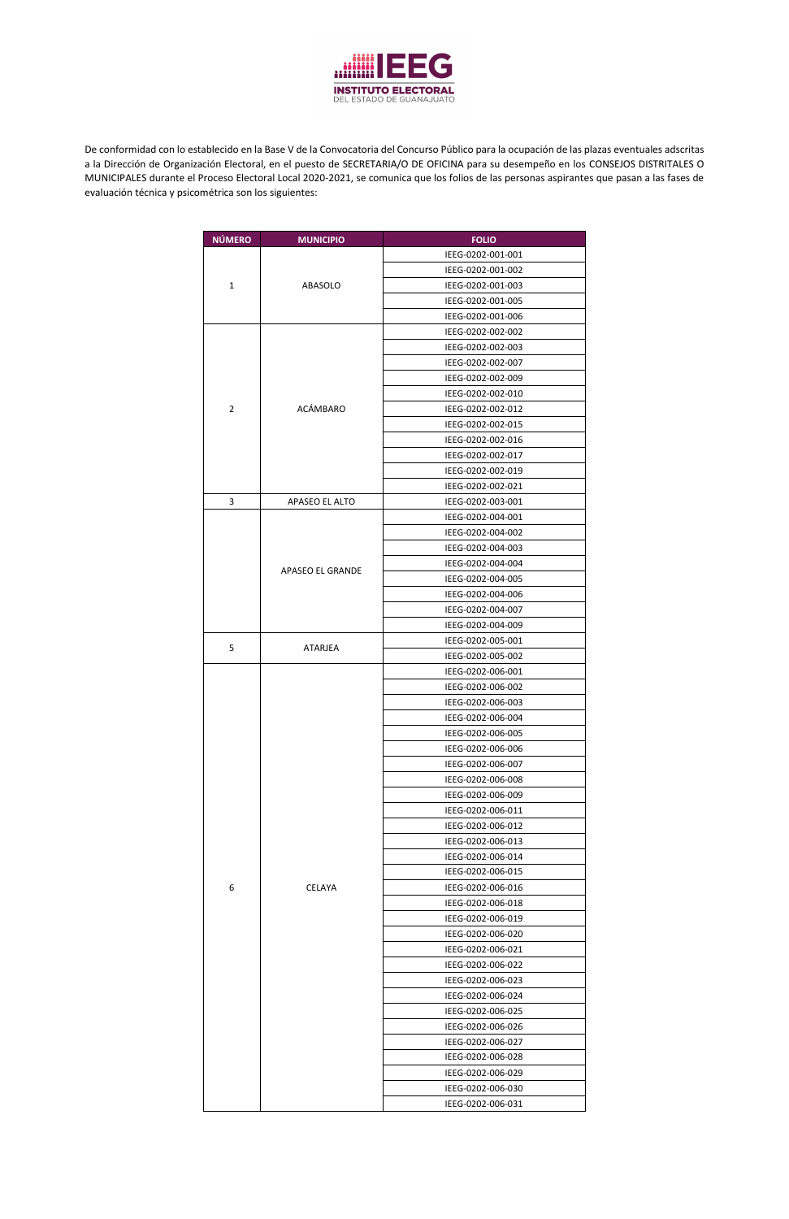

De conformidad con lo establecido en la Base V de la Convocatoria del Concurso Público para la ocupación de las plazas eventuales adscritas a la Dirección de Organización Electoral, en el puesto de SECRETARIA/O DE OFICINA para su desempeño en los CONSEJOS DISTRITALES O MUNICIPALES durante el Proceso Electoral Local 2020-2021, se comunica que los folios de las personas aspirantes que pasan a las fases de evaluación técnica y psicométrica son los siguientes:

| <b>NÚMERO</b>  | <b>MUNICIPIO</b> | <b>FOLIO</b>      |
|----------------|------------------|-------------------|
|                |                  | IEEG-0202-001-001 |
| $\mathbf{1}$   |                  | IEEG-0202-001-002 |
|                | ABASOLO          | IEEG-0202-001-003 |
|                |                  | IEEG-0202-001-005 |
|                |                  | IEEG-0202-001-006 |
|                |                  | IEEG-0202-002-002 |
|                |                  | IEEG-0202-002-003 |
|                |                  | IEEG-0202-002-007 |
|                |                  | IEEG-0202-002-009 |
|                |                  | IEEG-0202-002-010 |
| $\overline{2}$ | <b>ACÁMBARO</b>  | IEEG-0202-002-012 |
|                |                  | IEEG-0202-002-015 |
|                |                  | IEEG-0202-002-016 |
|                |                  | IEEG-0202-002-017 |
|                |                  | IEEG-0202-002-019 |
|                |                  | IEEG-0202-002-021 |
| 3              | APASEO EL ALTO   | IEEG-0202-003-001 |
|                |                  | IEEG-0202-004-001 |
|                |                  | IEEG-0202-004-002 |
|                |                  |                   |
|                |                  | IEEG-0202-004-003 |
|                | APASEO EL GRANDE | IEEG-0202-004-004 |
|                |                  | IEEG-0202-004-005 |
|                |                  | IEEG-0202-004-006 |
|                |                  | IEEG-0202-004-007 |
|                |                  | IEEG-0202-004-009 |
| 5              | <b>ATARJEA</b>   | IEEG-0202-005-001 |
|                |                  | IEEG-0202-005-002 |
|                |                  | IEEG-0202-006-001 |
|                |                  | IEEG-0202-006-002 |
|                |                  | IEEG-0202-006-003 |
|                |                  | IEEG-0202-006-004 |
|                |                  | IEEG-0202-006-005 |
|                |                  | IEEG-0202-006-006 |
|                |                  | IEEG-0202-006-007 |
|                |                  | IEEG-0202-006-008 |
|                |                  | IEEG-0202-006-009 |
|                |                  | IEEG-0202-006-011 |
|                |                  | IEEG-0202-006-012 |
|                |                  | IEEG-0202-006-013 |
|                | <b>CELAYA</b>    | IEEG-0202-006-014 |
|                |                  | IEEG-0202-006-015 |
| 6              |                  | IEEG-0202-006-016 |
|                |                  | IEEG-0202-006-018 |
|                |                  | IEEG-0202-006-019 |
|                |                  | IEEG-0202-006-020 |
|                |                  | IEEG-0202-006-021 |
|                |                  | IEEG-0202-006-022 |
|                |                  | IEEG-0202-006-023 |
|                |                  | IEEG-0202-006-024 |
|                |                  | IEEG-0202-006-025 |
|                |                  | IEEG-0202-006-026 |
|                |                  |                   |
|                |                  | IEEG-0202-006-027 |
|                |                  | IEEG-0202-006-028 |
|                |                  | IEEG-0202-006-029 |
|                |                  | IEEG-0202-006-030 |
|                |                  | IEEG-0202-006-031 |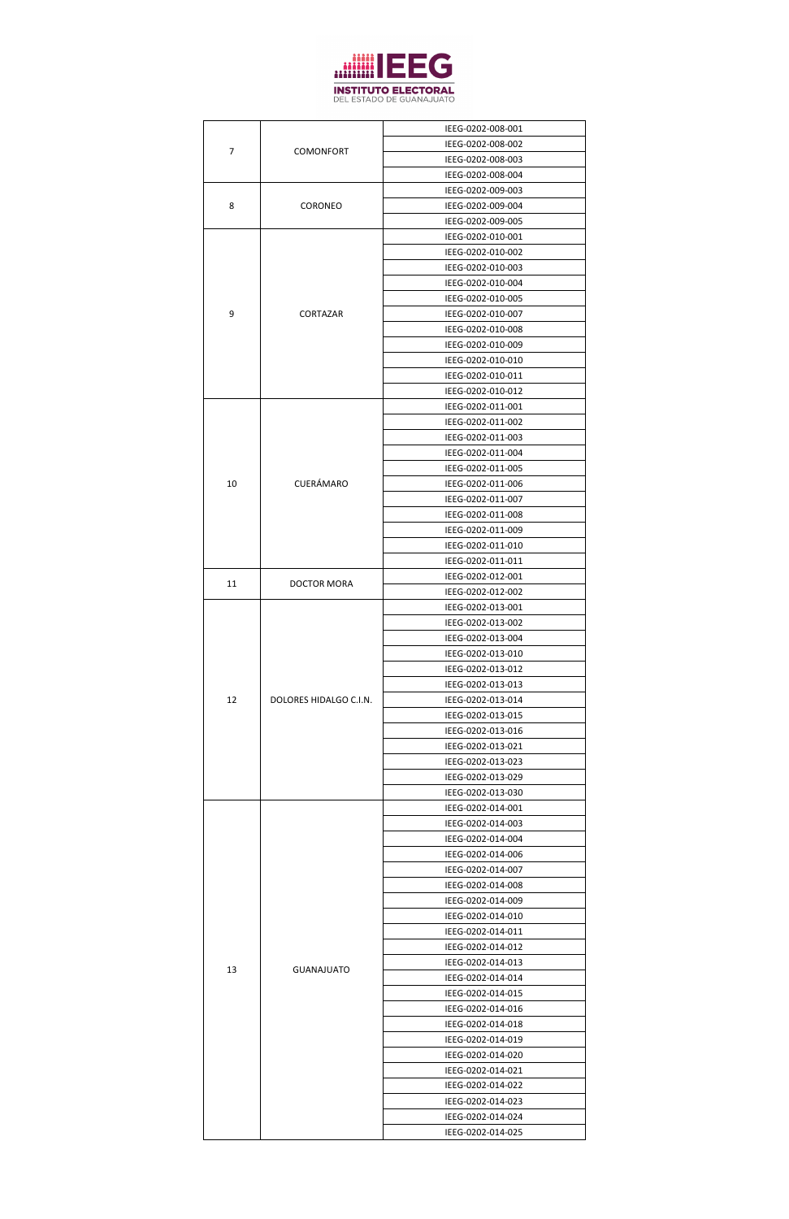

|                |                        | IEEG-0202-008-001 |
|----------------|------------------------|-------------------|
| $\overline{7}$ |                        | IEEG-0202-008-002 |
|                | <b>COMONFORT</b>       | IEEG-0202-008-003 |
|                |                        | IEEG-0202-008-004 |
| 8              |                        | IEEG-0202-009-003 |
|                | <b>CORONEO</b>         | IEEG-0202-009-004 |
|                |                        | IEEG-0202-009-005 |
|                |                        | IEEG-0202-010-001 |
|                |                        | IEEG-0202-010-002 |
|                |                        | IEEG-0202-010-003 |
|                |                        | IEEG-0202-010-004 |
|                |                        | IEEG-0202-010-005 |
| 9              | <b>CORTAZAR</b>        | IEEG-0202-010-007 |
|                |                        | IEEG-0202-010-008 |
|                |                        | IEEG-0202-010-009 |
|                |                        | IEEG-0202-010-010 |
|                |                        | IEEG-0202-010-011 |
|                |                        | IEEG-0202-010-012 |
|                |                        | IEEG-0202-011-001 |
|                |                        | IEEG-0202-011-002 |
|                |                        | IEEG-0202-011-003 |
|                |                        | IEEG-0202-011-004 |
|                |                        | IEEG-0202-011-005 |
| 10             | CUERÁMARO              |                   |
|                |                        | IEEG-0202-011-006 |
|                |                        | IEEG-0202-011-007 |
|                |                        | IEEG-0202-011-008 |
|                |                        | IEEG-0202-011-009 |
|                |                        | IEEG-0202-011-010 |
|                |                        | IEEG-0202-011-011 |
| 11             | DOCTOR MORA            | IEEG-0202-012-001 |
|                |                        | IEEG-0202-012-002 |
|                |                        | IEEG-0202-013-001 |
|                |                        | IEEG-0202-013-002 |
|                |                        | IEEG-0202-013-004 |
|                |                        | IEEG-0202-013-010 |
|                |                        | IEEG-0202-013-012 |
|                |                        | IEEG-0202-013-013 |
| 12             | DOLORES HIDALGO C.I.N. | IEEG-0202-013-014 |
|                |                        | IEEG-0202-013-015 |
|                |                        | IEEG-0202-013-016 |
|                |                        | IEEG-0202-013-021 |
|                |                        | IEEG-0202-013-023 |
|                |                        | IEEG-0202-013-029 |
|                |                        | IEEG-0202-013-030 |
|                |                        | IEEG-0202-014-001 |
|                |                        | IEEG-0202-014-003 |
|                | <b>GUANAJUATO</b>      | IEEG-0202-014-004 |
|                |                        | IEEG-0202-014-006 |
|                |                        | IEEG-0202-014-007 |
|                |                        | IEEG-0202-014-008 |
|                |                        | IEEG-0202-014-009 |
|                |                        | IEEG-0202-014-010 |
|                |                        | IEEG-0202-014-011 |
|                |                        | IEEG-0202-014-012 |
|                |                        | IEEG-0202-014-013 |
| 13             |                        | IEEG-0202-014-014 |
|                |                        | IEEG-0202-014-015 |
|                |                        | IEEG-0202-014-016 |
|                |                        | IEEG-0202-014-018 |
|                |                        | IEEG-0202-014-019 |
|                |                        |                   |
|                |                        | IEEG-0202-014-020 |
|                |                        | IEEG-0202-014-021 |
|                |                        | IEEG-0202-014-022 |
|                |                        | IEEG-0202-014-023 |
|                |                        | IEEG-0202-014-024 |
|                |                        | IEEG-0202-014-025 |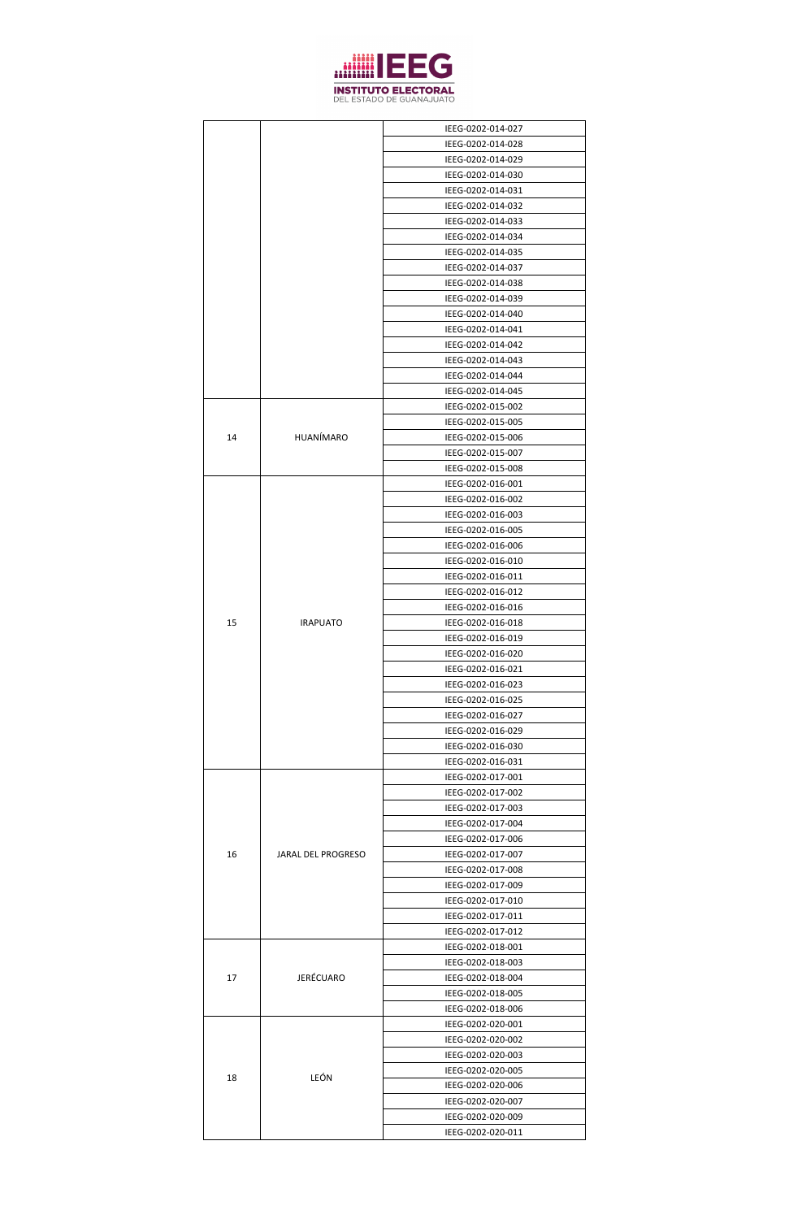

|    |                    | IEEG-0202-014-027                      |
|----|--------------------|----------------------------------------|
|    |                    | IEEG-0202-014-028                      |
|    |                    | IEEG-0202-014-029                      |
|    |                    | IEEG-0202-014-030                      |
|    |                    | IEEG-0202-014-031                      |
|    |                    | IEEG-0202-014-032                      |
|    |                    | IEEG-0202-014-033                      |
|    |                    | IEEG-0202-014-034                      |
|    |                    | IEEG-0202-014-035                      |
|    |                    | IEEG-0202-014-037<br>IEEG-0202-014-038 |
|    |                    | IEEG-0202-014-039                      |
|    |                    | IEEG-0202-014-040                      |
|    |                    | IEEG-0202-014-041                      |
|    |                    | IEEG-0202-014-042                      |
|    |                    | IEEG-0202-014-043                      |
|    |                    | IEEG-0202-014-044                      |
|    |                    | IEEG-0202-014-045                      |
|    |                    | IEEG-0202-015-002                      |
|    |                    | IEEG-0202-015-005                      |
| 14 | HUANÍMARO          | IEEG-0202-015-006                      |
|    |                    | IEEG-0202-015-007                      |
|    |                    | IEEG-0202-015-008                      |
|    |                    | IEEG-0202-016-001                      |
|    |                    | IEEG-0202-016-002                      |
|    |                    | IEEG-0202-016-003                      |
|    |                    | IEEG-0202-016-005<br>IEEG-0202-016-006 |
|    |                    | IEEG-0202-016-010                      |
|    |                    | IEEG-0202-016-011                      |
|    |                    | IEEG-0202-016-012                      |
|    |                    | IEEG-0202-016-016                      |
| 15 | <b>IRAPUATO</b>    | IEEG-0202-016-018                      |
|    |                    | IEEG-0202-016-019                      |
|    |                    | IEEG-0202-016-020                      |
|    |                    | IEEG-0202-016-021                      |
|    |                    | IEEG-0202-016-023                      |
|    |                    | IEEG-0202-016-025                      |
|    |                    | IEEG-0202-016-027                      |
|    |                    | IEEG-0202-016-029                      |
|    |                    | IEEG-0202-016-030                      |
|    |                    | IEEG-0202-016-031                      |
|    |                    | IEEG-0202-017-001                      |
|    |                    | IEEG-0202-017-002<br>IEEG-0202-017-003 |
|    |                    | IEEG-0202-017-004                      |
|    |                    | IEEG-0202-017-006                      |
| 16 | JARAL DEL PROGRESO | IEEG-0202-017-007                      |
|    |                    | IEEG-0202-017-008                      |
|    |                    | IEEG-0202-017-009                      |
|    |                    | IEEG-0202-017-010                      |
|    |                    | IEEG-0202-017-011                      |
|    |                    | IEEG-0202-017-012                      |
|    |                    | IEEG-0202-018-001                      |
|    |                    | IEEG-0202-018-003                      |
| 17 | <b>JERÉCUARO</b>   | IEEG-0202-018-004                      |
|    |                    | IEEG-0202-018-005                      |
|    |                    | IEEG-0202-018-006                      |
|    |                    | IEEG-0202-020-001                      |
|    |                    | IEEG-0202-020-002                      |
|    |                    | IEEG-0202-020-003                      |
| 18 | LEÓN               | IEEG-0202-020-005<br>IEEG-0202-020-006 |
|    |                    | IEEG-0202-020-007                      |
|    |                    |                                        |
|    |                    | IEEG-0202-020-009                      |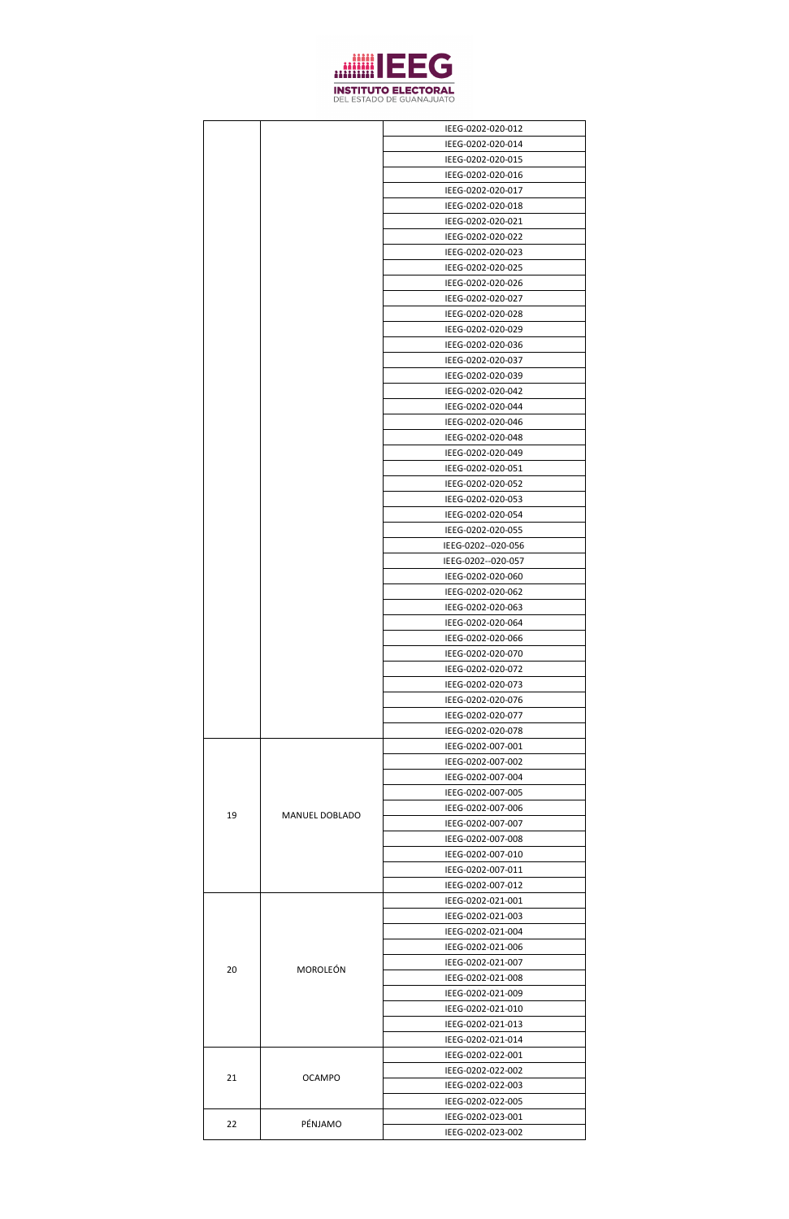

|    |                       | IEEG-0202-020-012                      |
|----|-----------------------|----------------------------------------|
|    |                       | IEEG-0202-020-014                      |
|    |                       | IEEG-0202-020-015                      |
|    |                       | IEEG-0202-020-016                      |
|    |                       | IEEG-0202-020-017                      |
|    |                       | IEEG-0202-020-018                      |
|    |                       | IEEG-0202-020-021                      |
|    |                       | IEEG-0202-020-022                      |
|    |                       | IEEG-0202-020-023                      |
|    |                       | IEEG-0202-020-025                      |
|    |                       | IEEG-0202-020-026                      |
|    |                       | IEEG-0202-020-027                      |
|    |                       | IEEG-0202-020-028                      |
|    |                       | IEEG-0202-020-029                      |
|    |                       | IEEG-0202-020-036                      |
|    |                       | IEEG-0202-020-037                      |
|    |                       | IEEG-0202-020-039                      |
|    |                       | IEEG-0202-020-042                      |
|    |                       | IEEG-0202-020-044                      |
|    |                       | IEEG-0202-020-046                      |
|    |                       | IEEG-0202-020-048                      |
|    |                       | IEEG-0202-020-049<br>IEEG-0202-020-051 |
|    |                       | IEEG-0202-020-052                      |
|    |                       | IEEG-0202-020-053                      |
|    |                       | IEEG-0202-020-054                      |
|    |                       | IEEG-0202-020-055                      |
|    |                       | IEEG-0202--020-056                     |
|    |                       | IEEG-0202--020-057                     |
|    |                       | IEEG-0202-020-060                      |
|    |                       | IEEG-0202-020-062                      |
|    |                       | IEEG-0202-020-063                      |
|    |                       | IEEG-0202-020-064                      |
|    |                       | IEEG-0202-020-066                      |
|    |                       | IEEG-0202-020-070                      |
|    |                       | IEEG-0202-020-072                      |
|    |                       | IEEG-0202-020-073                      |
|    |                       | IEEG-0202-020-076                      |
|    |                       | IEEG-0202-020-077                      |
|    |                       | IEEG-0202-020-078                      |
|    |                       | IEEG-0202-007-001                      |
|    |                       | IEEG-0202-007-002                      |
|    |                       | IEEG-0202-007-004                      |
|    |                       | IEEG-0202-007-005                      |
| 19 | <b>MANUEL DOBLADO</b> | IEEG-0202-007-006<br>IEEG-0202-007-007 |
|    |                       | IEEG-0202-007-008                      |
|    |                       | IEEG-0202-007-010                      |
|    |                       | IEEG-0202-007-011                      |
|    |                       | IEEG-0202-007-012                      |
|    |                       | IEEG-0202-021-001                      |
|    |                       | IEEG-0202-021-003                      |
|    |                       | IEEG-0202-021-004                      |
|    |                       | IEEG-0202-021-006                      |
|    |                       | IEEG-0202-021-007                      |
| 20 | <b>MOROLEÓN</b>       | IEEG-0202-021-008                      |
|    |                       | IEEG-0202-021-009                      |
|    |                       | IEEG-0202-021-010                      |
|    |                       | IEEG-0202-021-013                      |
|    |                       | IEEG-0202-021-014                      |
|    |                       | IEEG-0202-022-001                      |
| 21 | <b>OCAMPO</b>         | IEEG-0202-022-002                      |
|    |                       | IEEG-0202-022-003                      |
|    |                       | IEEG-0202-022-005                      |
| 22 | PÉNJAMO               | IEEG-0202-023-001                      |
|    |                       | IEEG-0202-023-002                      |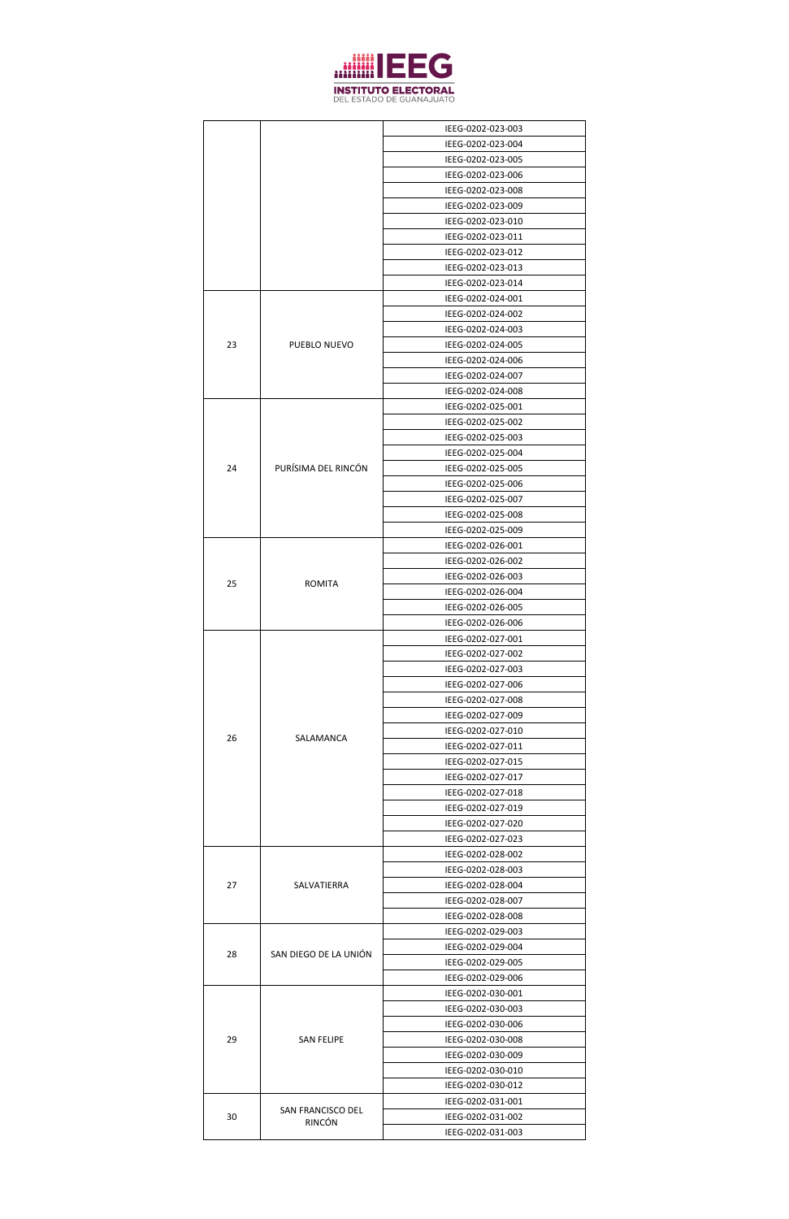

|    |                          | IEEG-0202-023-003 |
|----|--------------------------|-------------------|
|    |                          | IEEG-0202-023-004 |
|    |                          | IEEG-0202-023-005 |
|    |                          | IEEG-0202-023-006 |
|    |                          | IEEG-0202-023-008 |
|    |                          | IEEG-0202-023-009 |
|    |                          | IEEG-0202-023-010 |
|    |                          | IEEG-0202-023-011 |
|    |                          | IEEG-0202-023-012 |
|    |                          | IEEG-0202-023-013 |
|    |                          | IEEG-0202-023-014 |
|    |                          | IEEG-0202-024-001 |
|    |                          | IEEG-0202-024-002 |
|    |                          | IEEG-0202-024-003 |
| 23 | PUEBLO NUEVO             | IEEG-0202-024-005 |
|    |                          | IEEG-0202-024-006 |
|    |                          | IEEG-0202-024-007 |
|    |                          | IEEG-0202-024-008 |
|    |                          | IEEG-0202-025-001 |
|    |                          | IEEG-0202-025-002 |
|    |                          | IEEG-0202-025-003 |
|    |                          | IEEG-0202-025-004 |
| 24 | PURÍSIMA DEL RINCÓN      | IEEG-0202-025-005 |
|    |                          | IEEG-0202-025-006 |
|    |                          | IEEG-0202-025-007 |
|    |                          | IEEG-0202-025-008 |
|    |                          | IEEG-0202-025-009 |
|    |                          | IEEG-0202-026-001 |
|    |                          | IEEG-0202-026-002 |
| 25 | <b>ROMITA</b>            | IEEG-0202-026-003 |
|    |                          | IEEG-0202-026-004 |
|    |                          | IEEG-0202-026-005 |
|    |                          | IEEG-0202-026-006 |
|    |                          | IEEG-0202-027-001 |
|    |                          | IEEG-0202-027-002 |
|    |                          | IEEG-0202-027-003 |
|    |                          | IEEG-0202-027-006 |
|    |                          | IEEG-0202-027-008 |
|    |                          | IEEG-0202-027-009 |
| 26 | SALAMANCA                | IEEG-0202-027-010 |
|    |                          | IEEG-0202-027-011 |
|    |                          | IEEG-0202-027-015 |
|    |                          | IEEG-0202-027-017 |
|    |                          | IEEG-0202-027-018 |
|    |                          | IEEG-0202-027-019 |
|    |                          | IEEG-0202-027-020 |
|    |                          | IEEG-0202-027-023 |
|    | SALVATIERRA              | IEEG-0202-028-002 |
|    |                          | IEEG-0202-028-003 |
| 27 |                          | IEEG-0202-028-004 |
|    |                          | IEEG-0202-028-007 |
|    |                          | IEEG-0202-028-008 |
|    |                          | IEEG-0202-029-003 |
| 28 | SAN DIEGO DE LA UNIÓN    | IEEG-0202-029-004 |
|    |                          | IEEG-0202-029-005 |
|    |                          | IEEG-0202-029-006 |
|    |                          | IEEG-0202-030-001 |
|    |                          | IEEG-0202-030-003 |
|    |                          | IEEG-0202-030-006 |
| 29 | <b>SAN FELIPE</b>        | IEEG-0202-030-008 |
|    |                          | IEEG-0202-030-009 |
|    |                          | IEEG-0202-030-010 |
|    |                          | IEEG-0202-030-012 |
|    | <b>SAN FRANCISCO DEL</b> | IEEG-0202-031-001 |
| 30 | <b>RINCÓN</b>            | IEEG-0202-031-002 |
|    |                          | IEEG-0202-031-003 |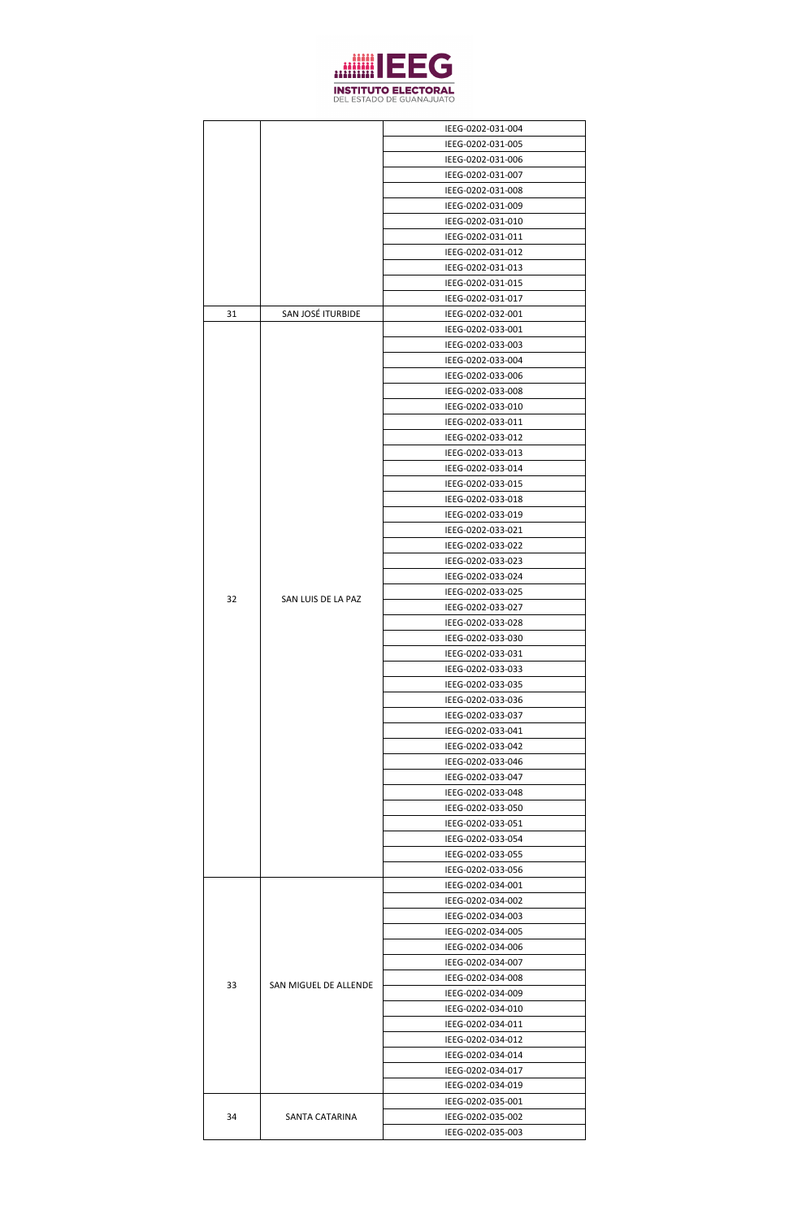

|    |                       | IEEG-0202-031-004                      |
|----|-----------------------|----------------------------------------|
|    |                       | IEEG-0202-031-005                      |
|    |                       | IEEG-0202-031-006                      |
|    |                       | IEEG-0202-031-007                      |
|    |                       | IEEG-0202-031-008                      |
|    |                       | IEEG-0202-031-009                      |
|    |                       | IEEG-0202-031-010                      |
|    |                       | IEEG-0202-031-011                      |
|    |                       | IEEG-0202-031-012                      |
|    |                       | IEEG-0202-031-013                      |
|    |                       | IEEG-0202-031-015                      |
|    |                       | IEEG-0202-031-017                      |
| 31 | SAN JOSÉ ITURBIDE     | IEEG-0202-032-001                      |
|    |                       | IEEG-0202-033-001                      |
|    |                       | IEEG-0202-033-003                      |
|    |                       | IEEG-0202-033-004                      |
|    |                       | IEEG-0202-033-006                      |
|    |                       | IEEG-0202-033-008                      |
|    |                       | IEEG-0202-033-010                      |
|    |                       | IEEG-0202-033-011                      |
|    |                       | IEEG-0202-033-012                      |
|    |                       | IEEG-0202-033-013                      |
|    |                       | IEEG-0202-033-014                      |
|    |                       | IEEG-0202-033-015                      |
|    |                       | IEEG-0202-033-018                      |
|    |                       | IEEG-0202-033-019<br>IEEG-0202-033-021 |
|    |                       |                                        |
|    |                       | IEEG-0202-033-022                      |
|    |                       | IEEG-0202-033-023                      |
|    | SAN LUIS DE LA PAZ    | IEEG-0202-033-024<br>IEEG-0202-033-025 |
| 32 |                       | IEEG-0202-033-027                      |
|    |                       | IEEG-0202-033-028                      |
|    |                       | IEEG-0202-033-030                      |
|    |                       | IEEG-0202-033-031                      |
|    |                       | IEEG-0202-033-033                      |
|    |                       | IEEG-0202-033-035                      |
|    |                       | IEEG-0202-033-036                      |
|    |                       | IEEG-0202-033-037                      |
|    |                       | IEEG-0202-033-041                      |
|    |                       | IEEG-0202-033-042                      |
|    |                       | IEEG-0202-033-046                      |
|    |                       | IEEG-0202-033-047                      |
|    |                       | IEEG-0202-033-048                      |
|    |                       | IEEG-0202-033-050                      |
|    |                       | IEEG-0202-033-051                      |
|    |                       | IEEG-0202-033-054                      |
|    |                       | IEEG-0202-033-055                      |
|    |                       | IEEG-0202-033-056                      |
|    |                       | IEEG-0202-034-001                      |
|    |                       | IEEG-0202-034-002                      |
|    |                       | IEEG-0202-034-003                      |
|    |                       | IEEG-0202-034-005                      |
|    |                       | IEEG-0202-034-006                      |
|    |                       | IEEG-0202-034-007                      |
| 33 | SAN MIGUEL DE ALLENDE | IEEG-0202-034-008                      |
|    |                       | IEEG-0202-034-009                      |
|    |                       | IEEG-0202-034-010                      |
|    |                       | IEEG-0202-034-011                      |
|    |                       | IEEG-0202-034-012                      |
|    |                       | IEEG-0202-034-014                      |
|    |                       | IEEG-0202-034-017                      |
|    |                       | IEEG-0202-034-019                      |
|    |                       | IEEG-0202-035-001                      |
| 34 | SANTA CATARINA        | IEEG-0202-035-002                      |
|    |                       | IEEG-0202-035-003                      |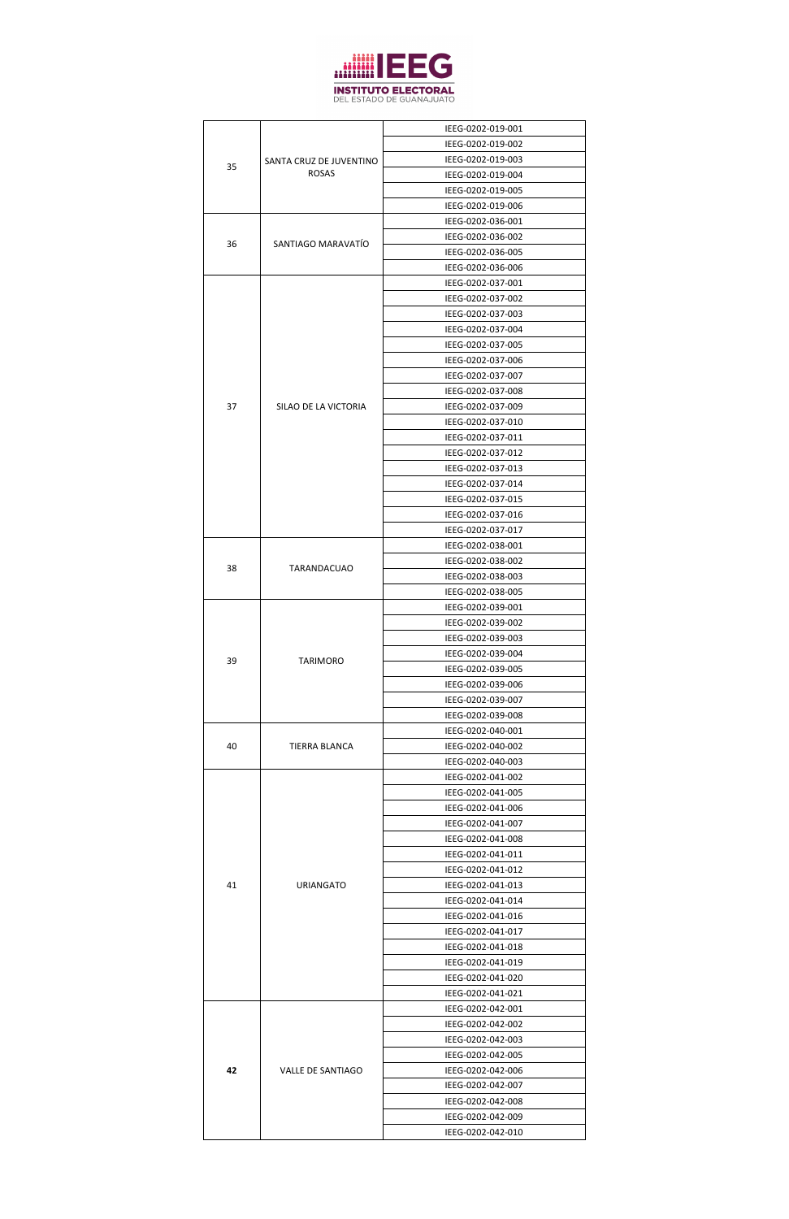

|    |                                   | IEEG-0202-019-001                      |
|----|-----------------------------------|----------------------------------------|
| 35 |                                   | IEEG-0202-019-002                      |
|    | SANTA CRUZ DE JUVENTINO           | IEEG-0202-019-003                      |
|    | <b>ROSAS</b>                      | IEEG-0202-019-004                      |
|    |                                   | IEEG-0202-019-005                      |
|    |                                   | IEEG-0202-019-006                      |
|    |                                   | IEEG-0202-036-001                      |
| 36 | SANTIAGO MARAVATÍO                | IEEG-0202-036-002                      |
|    |                                   | IEEG-0202-036-005                      |
|    |                                   | IEEG-0202-036-006                      |
|    |                                   | IEEG-0202-037-001<br>IEEG-0202-037-002 |
|    |                                   | IEEG-0202-037-003                      |
|    |                                   | IEEG-0202-037-004                      |
|    |                                   | IEEG-0202-037-005                      |
|    |                                   | IEEG-0202-037-006                      |
|    |                                   | IEEG-0202-037-007                      |
|    |                                   | IEEG-0202-037-008                      |
| 37 | SILAO DE LA VICTORIA              | IEEG-0202-037-009                      |
|    |                                   | IEEG-0202-037-010                      |
|    |                                   | IEEG-0202-037-011                      |
|    |                                   | IEEG-0202-037-012                      |
|    |                                   | IEEG-0202-037-013                      |
|    |                                   | IEEG-0202-037-014                      |
|    |                                   | IEEG-0202-037-015                      |
|    |                                   | IEEG-0202-037-016                      |
|    |                                   | IEEG-0202-037-017                      |
|    |                                   | IEEG-0202-038-001<br>IEEG-0202-038-002 |
| 38 | <b>TARANDACUAO</b>                | IEEG-0202-038-003                      |
|    |                                   | IEEG-0202-038-005                      |
|    |                                   | IEEG-0202-039-001                      |
|    |                                   | IEEG-0202-039-002                      |
|    |                                   | IEEG-0202-039-003                      |
|    |                                   | IEEG-0202-039-004                      |
| 39 | <b>TARIMORO</b>                   | IEEG-0202-039-005                      |
|    |                                   | IEEG-0202-039-006                      |
|    |                                   | IEEG-0202-039-007                      |
|    |                                   | IEEG-0202-039-008                      |
|    | TIERRA BLANCA<br><b>URIANGATO</b> | IEEG-0202-040-001                      |
| 40 |                                   | IEEG-0202-040-002                      |
|    |                                   | IEEG-0202-040-003                      |
|    |                                   | IEEG-0202-041-002<br>IEEG-0202-041-005 |
|    |                                   | IEEG-0202-041-006                      |
|    |                                   | IEEG-0202-041-007                      |
|    |                                   | IEEG-0202-041-008                      |
|    |                                   | IEEG-0202-041-011                      |
|    |                                   | IEEG-0202-041-012                      |
| 41 |                                   | IEEG-0202-041-013                      |
|    |                                   | IEEG-0202-041-014                      |
|    |                                   | IEEG-0202-041-016                      |
|    |                                   | IEEG-0202-041-017                      |
|    |                                   | IEEG-0202-041-018                      |
|    |                                   | IEEG-0202-041-019                      |
|    |                                   | IEEG-0202-041-020                      |
|    |                                   | IEEG-0202-041-021                      |
|    |                                   | IEEG-0202-042-001<br>IEEG-0202-042-002 |
|    |                                   | IEEG-0202-042-003                      |
|    |                                   | IEEG-0202-042-005                      |
| 42 | <b>VALLE DE SANTIAGO</b>          | IEEG-0202-042-006                      |
|    |                                   | IEEG-0202-042-007                      |
|    |                                   | IEEG-0202-042-008                      |
|    |                                   | IEEG-0202-042-009                      |
|    |                                   | IEEG-0202-042-010                      |